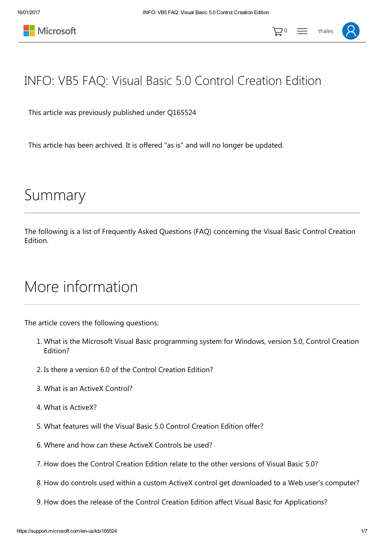



## INFO: VB5 FAQ: Visual Basic 5.0 Control Creation Edition

This article was previously published under Q165524

This article has been archived. It is offered "as is" and will no longer be updated.

# Summary

The following is a list of Frequently Asked Questions (FAQ) concerning the Visual Basic Control Creation Edition.

## More information

The article covers the following questions:

- 1. What is the Microsoft Visual Basic programming system for Windows, version 5.0, Control Creation Edition?
- 2. Is there a version 6.0 of the Control Creation Edition?
- 3. What is an ActiveX Control?
- 4. What is ActiveX?
- 5. What features will the Visual Basic 5.0 Control Creation Edition offer?
- 6. Where and how can these ActiveX Controls be used?
- 7. How does the Control Creation Edition relate to the other versions of Visual Basic 5.0?
- 8. How do controls used within a custom ActiveX control get downloaded to a Web user's computer?
- 9. How does the release of the Control Creation Edition affect Visual Basic for Applications?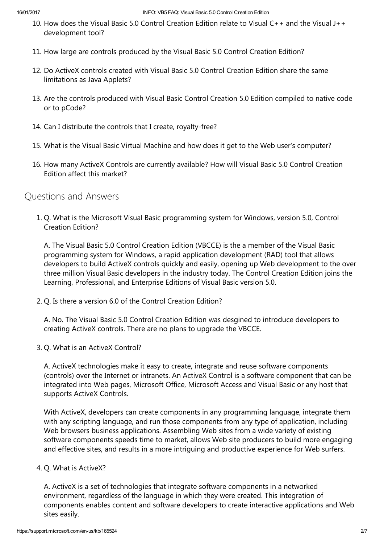- 10. How does the Visual Basic 5.0 Control Creation Edition relate to Visual C++ and the Visual J++ development tool?
- 11. How large are controls produced by the Visual Basic 5.0 Control Creation Edition?
- 12. Do ActiveX controls created with Visual Basic 5.0 Control Creation Edition share the same limitations as Java Applets?
- 13. Are the controls produced with Visual Basic Control Creation 5.0 Edition compiled to native code or to pCode?
- 14. Can I distribute the controls that I create, royalty-free?
- 15. What is the Visual Basic Virtual Machine and how does it get to the Web user's computer?
- 16. How many ActiveX Controls are currently available? How will Visual Basic 5.0 Control Creation Edition affect this market?

### Questions and Answers

1. Q. What is the Microsoft Visual Basic programming system for Windows, version 5.0, Control Creation Edition?

A. The Visual Basic 5.0 Control Creation Edition (VBCCE) is the a member of the Visual Basic programming system for Windows, a rapid application development (RAD) tool that allows developers to build ActiveX controls quickly and easily, opening up Web development to the over three million Visual Basic developers in the industry today. The Control Creation Edition joins the Learning, Professional, and Enterprise Editions of Visual Basic version 5.0.

2. Q. Is there a version 6.0 of the Control Creation Edition?

A. No. The Visual Basic 5.0 Control Creation Edition was desgined to introduce developers to creating ActiveX controls. There are no plans to upgrade the VBCCE.

3. Q. What is an ActiveX Control?

A. ActiveX technologies make it easy to create, integrate and reuse software components (controls) over the Internet or intranets. An ActiveX Control is a software component that can be integrated into Web pages, Microsoft Office, Microsoft Access and Visual Basic or any host that supports ActiveX Controls.

With ActiveX, developers can create components in any programming language, integrate them with any scripting language, and run those components from any type of application, including Web browsers business applications. Assembling Web sites from a wide variety of existing software components speeds time to market, allows Web site producers to build more engaging and effective sites, and results in a more intriguing and productive experience for Web surfers.

#### 4. Q. What is ActiveX?

A. ActiveX is a set of technologies that integrate software components in a networked environment, regardless of the language in which they were created. This integration of components enables content and software developers to create interactive applications and Web sites easily.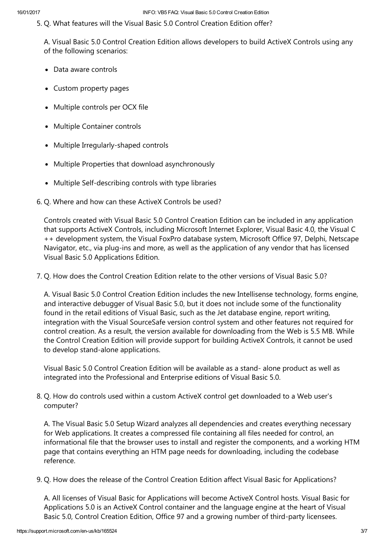5. Q. What features will the Visual Basic 5.0 Control Creation Edition offer?

A. Visual Basic 5.0 Control Creation Edition allows developers to build ActiveX Controls using any of the following scenarios:

- Data aware controls
- Custom property pages
- Multiple controls per OCX file
- Multiple Container controls
- Multiple Irregularly-shaped controls
- Multiple Properties that download asynchronously
- Multiple Self-describing controls with type libraries
- 6. Q. Where and how can these ActiveX Controls be used?

Controls created with Visual Basic 5.0 Control Creation Edition can be included in any application that supports ActiveX Controls, including Microsoft Internet Explorer, Visual Basic 4.0, the Visual C ++ development system, the Visual FoxPro database system, Microsoft Office 97, Delphi, Netscape Navigator, etc., via plug‐ins and more, as well as the application of any vendor that has licensed Visual Basic 5.0 Applications Edition.

7. Q. How does the Control Creation Edition relate to the other versions of Visual Basic 5.0?

A. Visual Basic 5.0 Control Creation Edition includes the new Intellisense technology, forms engine, and interactive debugger of Visual Basic 5.0, but it does not include some of the functionality found in the retail editions of Visual Basic, such as the Jet database engine, report writing, integration with the Visual SourceSafe version control system and other features not required for control creation. As a result, the version available for downloading from the Web is 5.5 MB. While the Control Creation Edition will provide support for building ActiveX Controls, it cannot be used to develop stand‐alone applications.

Visual Basic 5.0 Control Creation Edition will be available as a stand‐ alone product as well as integrated into the Professional and Enterprise editions of Visual Basic 5.0.

8. Q. How do controls used within a custom ActiveX control get downloaded to a Web user's computer?

A. The Visual Basic 5.0 Setup Wizard analyzes all dependencies and creates everything necessary for Web applications. It creates a compressed file containing all files needed for control, an informational file that the browser uses to install and register the components, and a working HTM page that contains everything an HTM page needs for downloading, including the codebase reference.

9. Q. How does the release of the Control Creation Edition affect Visual Basic for Applications?

A. All licenses of Visual Basic for Applications will become ActiveX Control hosts. Visual Basic for Applications 5.0 is an ActiveX Control container and the language engine at the heart of Visual Basic 5.0, Control Creation Edition, Office 97 and a growing number of third-party licensees.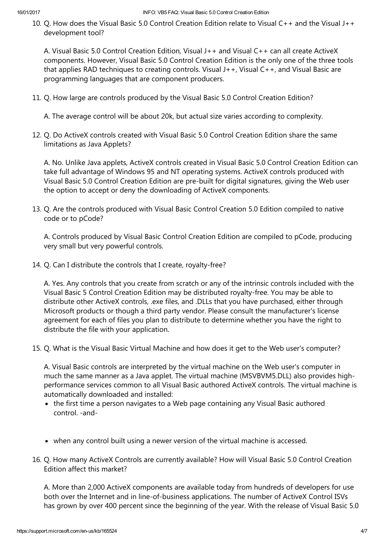10. Q. How does the Visual Basic 5.0 Control Creation Edition relate to Visual C++ and the Visual J++ development tool?

A. Visual Basic 5.0 Control Creation Edition, Visual J++ and Visual C++ can all create ActiveX components. However, Visual Basic 5.0 Control Creation Edition is the only one of the three tools that applies RAD techniques to creating controls. Visual J++, Visual C++, and Visual Basic are programming languages that are component producers.

11. Q. How large are controls produced by the Visual Basic 5.0 Control Creation Edition?

A. The average control will be about 20k, but actual size varies according to complexity.

12. Q. Do ActiveX controls created with Visual Basic 5.0 Control Creation Edition share the same limitations as Java Applets?

A. No. Unlike Java applets, ActiveX controls created in Visual Basic 5.0 Control Creation Edition can take full advantage of Windows 95 and NT operating systems. ActiveX controls produced with Visual Basic 5.0 Control Creation Edition are pre‐built for digital signatures, giving the Web user the option to accept or deny the downloading of ActiveX components.

13. Q. Are the controls produced with Visual Basic Control Creation 5.0 Edition compiled to native code or to pCode?

A. Controls produced by Visual Basic Control Creation Edition are compiled to pCode, producing very small but very powerful controls.

14. Q. Can I distribute the controls that I create, royalty‐free?

A. Yes. Any controls that you create from scratch or any of the intrinsic controls included with the Visual Basic 5 Control Creation Edition may be distributed royalty‐free. You may be able to distribute other ActiveX controls, .exe files, and .DLLs that you have purchased, either through Microsoft products or though a third party vendor. Please consult the manufacturer's license agreement for each of files you plan to distribute to determine whether you have the right to distribute the file with your application.

15. Q. What is the Visual Basic Virtual Machine and how does it get to the Web user's computer?

A. Visual Basic controls are interpreted by the virtual machine on the Web user's computer in much the same manner as a Java applet. The virtual machine (MSVBVM5.DLL) also provides highperformance services common to all Visual Basic authored ActiveX controls. The virtual machine is automatically downloaded and installed:

- the first time a person navigates to a Web page containing any Visual Basic authored control. ‐and‐
- when any control built using a newer version of the virtual machine is accessed.
- 16. Q. How many ActiveX Controls are currently available? How will Visual Basic 5.0 Control Creation Edition affect this market?

A. More than 2,000 ActiveX components are available today from hundreds of developers for use both over the Internet and in line‐of‐business applications. The number of ActiveX Control ISVs has grown by over 400 percent since the beginning of the year. With the release of Visual Basic 5.0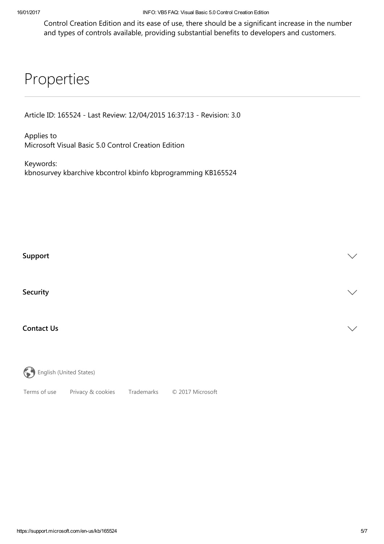Control Creation Edition and its ease of use, there should be a significant increase in the number and types of controls available, providing substantial benefits to developers and customers.

## Properties

Article ID: 165524 ‐ Last Review: 12/04/2015 16:37:13 ‐ Revision: 3.0

Applies to Microsoft Visual Basic 5.0 Control Creation Edition

Keywords: kbnosurvey kbarchive kbcontrol kbinfo kbprogramming KB165524

### $\blacksquare$ Support $\blacksquare$

Security that is a security of  $\mathcal{S}$  is a security of  $\mathcal{S}$  . Security that is a security of  $\mathcal{S}$ 

### Contact Us  $\vee$

English (United States)

[Terms](http://go.microsoft.com/fwlink/?LinkID=206977) of use Privacy & [cookies](http://go.microsoft.com/fwlink/?LinkID=521839) [Trademarks](http://www.microsoft.com/trademarks) © 2017 Microsoft